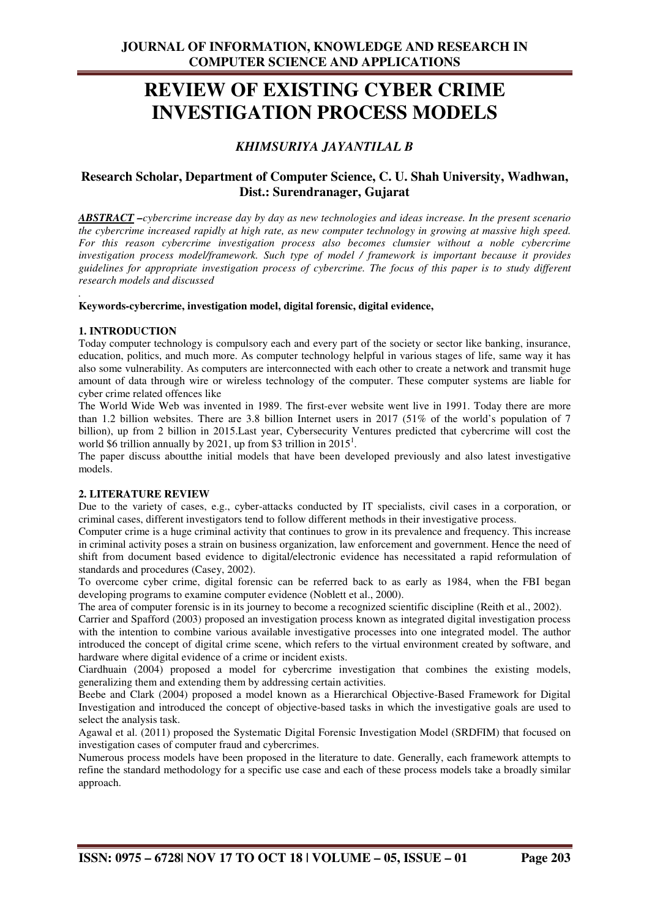# **REVIEW OF EXISTING CYBER CRIME INVESTIGATION PROCESS MODELS**

## *KHIMSURIYA JAYANTILAL B*

### **Research Scholar, Department of Computer Science, C. U. Shah University, Wadhwan, Dist.: Surendranager, Gujarat**

*ABSTRACT –cybercrime increase day by day as new technologies and ideas increase. In the present scenario the cybercrime increased rapidly at high rate, as new computer technology in growing at massive high speed. For this reason cybercrime investigation process also becomes clumsier without a noble cybercrime investigation process model/framework. Such type of model / framework is important because it provides guidelines for appropriate investigation process of cybercrime. The focus of this paper is to study different research models and discussed* 

#### *.*  **Keywords-cybercrime, investigation model, digital forensic, digital evidence,**

### **1. INTRODUCTION**

Today computer technology is compulsory each and every part of the society or sector like banking, insurance, education, politics, and much more. As computer technology helpful in various stages of life, same way it has also some vulnerability. As computers are interconnected with each other to create a network and transmit huge amount of data through wire or wireless technology of the computer. These computer systems are liable for cyber crime related offences like

The World Wide Web was invented in 1989. The first-ever website went live in 1991. Today there are more than 1.2 billion websites. There are 3.8 billion Internet users in 2017 (51% of the world's population of 7 billion), up from 2 billion in 2015.Last year, Cybersecurity Ventures predicted that cybercrime will cost the world \$6 trillion annually by 2021, up from \$3 trillion in  $2015<sup>1</sup>$ .

The paper discuss aboutthe initial models that have been developed previously and also latest investigative models.

### **2. LITERATURE REVIEW**

Due to the variety of cases, e.g., cyber-attacks conducted by IT specialists, civil cases in a corporation, or criminal cases, different investigators tend to follow different methods in their investigative process.

Computer crime is a huge criminal activity that continues to grow in its prevalence and frequency. This increase in criminal activity poses a strain on business organization, law enforcement and government. Hence the need of shift from document based evidence to digital/electronic evidence has necessitated a rapid reformulation of standards and procedures (Casey, 2002).

To overcome cyber crime, digital forensic can be referred back to as early as 1984, when the FBI began developing programs to examine computer evidence (Noblett et al., 2000).

The area of computer forensic is in its journey to become a recognized scientific discipline (Reith et al., 2002).

Carrier and Spafford (2003) proposed an investigation process known as integrated digital investigation process with the intention to combine various available investigative processes into one integrated model. The author introduced the concept of digital crime scene, which refers to the virtual environment created by software, and hardware where digital evidence of a crime or incident exists.

Ciardhuain (2004) proposed a model for cybercrime investigation that combines the existing models, generalizing them and extending them by addressing certain activities.

Beebe and Clark (2004) proposed a model known as a Hierarchical Objective-Based Framework for Digital Investigation and introduced the concept of objective-based tasks in which the investigative goals are used to select the analysis task.

Agawal et al. (2011) proposed the Systematic Digital Forensic Investigation Model (SRDFIM) that focused on investigation cases of computer fraud and cybercrimes.

Numerous process models have been proposed in the literature to date. Generally, each framework attempts to refine the standard methodology for a specific use case and each of these process models take a broadly similar approach.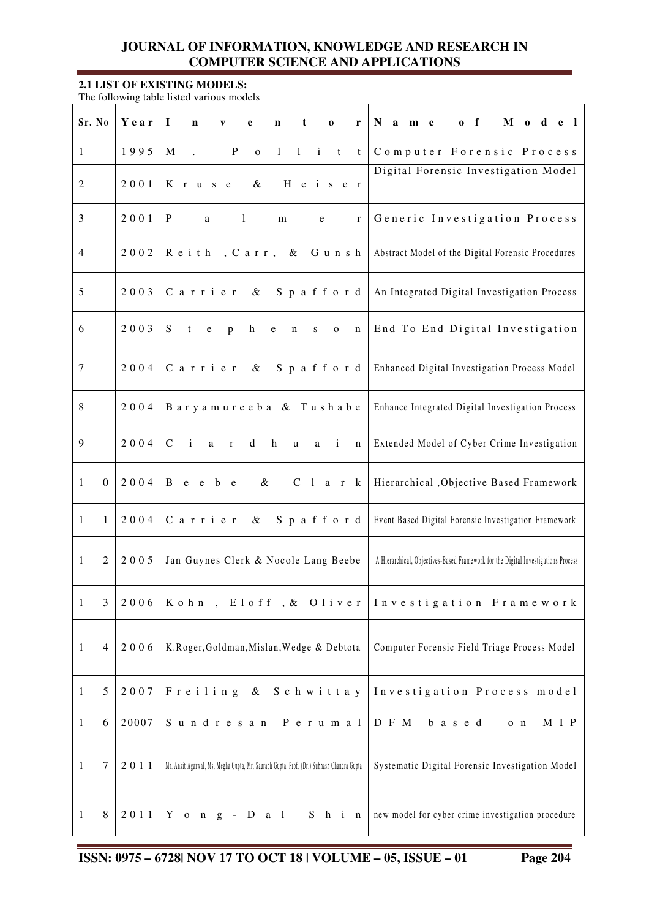### **2.1 LIST OF EXISTING MODELS:**

The following table listed various models

| Sr. No         | Year                     | $\bf{I}$<br>$\mathbf n$<br>t<br>$\mathbf{V}$<br>e<br>n<br>$\mathbf 0$<br>r                                     | $M$ o d e l<br>$\mathbf{0}$ f<br>N a m e                                          |
|----------------|--------------------------|----------------------------------------------------------------------------------------------------------------|-----------------------------------------------------------------------------------|
| $\mathbf{1}$   | 1995                     | M<br>$\mathbf P$<br>$1$ i<br>$\mathbf{1}$<br>$\mathbf{o}$<br>t<br>t                                            | Computer Forensic Process                                                         |
| $\overline{c}$ | 2001                     | $\&$<br>H e i s e r<br>K r u s e                                                                               | Digital Forensic Investigation Model                                              |
| 3              | 2001                     | P<br>$\mathbf{1}$<br>a<br>m<br>e<br>$\mathbf{r}$                                                               | Generic Investigation Process                                                     |
| 4              | 2002                     | Gunsh<br>Reith<br>, Carr, &                                                                                    | Abstract Model of the Digital Forensic Procedures                                 |
| 5              | 2003                     | Carrier<br>Spafford<br>$\&$                                                                                    | An Integrated Digital Investigation Process                                       |
| 6              | 2003                     | S<br>t<br>h<br>$\rm e$<br>p<br>e<br>$\mathbf n$<br>$\mathbf n$<br>S<br>$\mathbf{o}$                            | End To End Digital Investigation                                                  |
| $\tau$         | 2004                     | Carrier<br>Spafford<br>$\&$                                                                                    | Enhanced Digital Investigation Process Model                                      |
| $\,8\,$        | 2004                     | Baryamureeba & Tushabe                                                                                         | Enhance Integrated Digital Investigation Process                                  |
| 9              | 2004                     | $\mathbf{i}$<br>$\mathsf{C}$<br>$\boldsymbol{h}$<br>d<br>$\mathbf{i}$<br>a<br>$\bf r$<br>u<br>a<br>$\mathbf n$ | Extended Model of Cyber Crime Investigation                                       |
| 1              | 2004<br>$\mathbf{0}$     | B<br>e e b e<br>$\&$<br>$C_1$ a r<br>$\bf k$                                                                   | Hierarchical , Objective Based Framework                                          |
| $\mathbf{1}$   | 2004<br>1                | Carrier<br>$\&$<br>Spafford                                                                                    | Event Based Digital Forensic Investigation Framework                              |
| 1              | $\overline{2}$<br>2005   | Jan Guynes Clerk & Nocole Lang Beebe                                                                           | A Hierarchical, Objectives-Based Framework for the Digital Investigations Process |
| $\,1$          | 3<br>2006                | Kohn, Eloff, & Oliver                                                                                          | Investigation Framework                                                           |
| $\mathbf{1}$   | 2006<br>$\overline{4}$   | K.Roger, Goldman, Mislan, Wedge & Debtota                                                                      | Computer Forensic Field Triage Process Model                                      |
| $\mathbf{1}$   | 5<br>2007                | Freiling & Schwittay                                                                                           | Investigation Process model                                                       |
| $\mathbf{1}$   | 20007<br>6               | Sundresan<br>P e r u m a l                                                                                     | D F M<br>M I P<br>b a s e d<br>$o$ $n$                                            |
| $\mathbf{1}$   | $\boldsymbol{7}$<br>2011 | Mr. Ankit Agarwal, Ms. Megha Gupta, Mr. Saurabh Gupta, Prof. (Dr.) Subhash Chandra Gupta                       | Systematic Digital Forensic Investigation Model                                   |
| $\mathbf{1}$   | $\,8\,$<br>2011          | $Y$ on $g$ - $D$ a $1$<br>$S$ h i n                                                                            | new model for cyber crime investigation procedure                                 |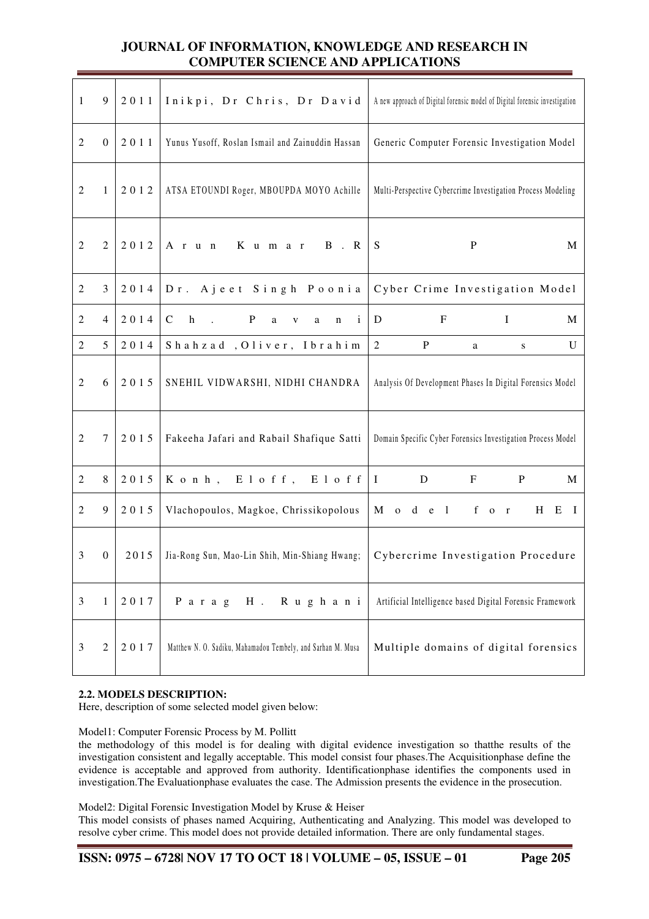| $\mathbf{1}$     | 9                | 2011 | Inikpi, Dr Chris, Dr David                                                      | A new approach of Digital forensic model of Digital forensic investigation                               |
|------------------|------------------|------|---------------------------------------------------------------------------------|----------------------------------------------------------------------------------------------------------|
| $\overline{c}$   | $\boldsymbol{0}$ | 2011 | Yunus Yusoff, Roslan Ismail and Zainuddin Hassan                                | Generic Computer Forensic Investigation Model                                                            |
| $\overline{2}$   | $\mathbf{1}$     | 2012 | ATSA ETOUNDI Roger, MBOUPDA MOYO Achille                                        | Multi-Perspective Cybercrime Investigation Process Modeling                                              |
| 2                | $\overline{2}$   | 2012 | $K$ umar<br>$A$ r $u$ n<br>$B \cdot R$                                          | S<br>$\mathbf{P}$<br>M                                                                                   |
| $\boldsymbol{2}$ | 3                | 2014 | Dr. Ajeet Singh Poonia                                                          | Cyber Crime Investigation Model                                                                          |
| 2                | $\overline{4}$   | 2014 | $\mathsf{C}$<br>h<br>P<br>a<br>$\mathbf{i}$<br>$\sim$<br>$\mathbf{V}$<br>a<br>n | $\mathbf{F}$<br>$\mathbf{I}$<br>D<br>M                                                                   |
| $\overline{2}$   | 5                | 2014 | Shahzad, Oliver, Ibrahim                                                        | $\overline{2}$<br>$\mathbf{P}$<br>U<br>a<br>${\bf S}$                                                    |
| $\overline{2}$   | 6                | 2015 | SNEHIL VIDWARSHI, NIDHI CHANDRA                                                 | Analysis Of Development Phases In Digital Forensics Model                                                |
| $\overline{2}$   | $\tau$           | 2015 | Fakeeha Jafari and Rabail Shafique Satti                                        | Domain Specific Cyber Forensics Investigation Process Model                                              |
| $\overline{2}$   | $8\,$            | 2015 | Konh, Eloff, Eloff                                                              | $\bf I$<br>${\bf D}$<br>$\, {\bf P}$<br>$\boldsymbol{\mathrm{F}}$<br>M                                   |
| $\overline{2}$   | 9                | 2015 | Vlachopoulos, Magkoe, Chrissikopolous                                           | M<br>f o<br>d<br>$\overline{1}$<br>H<br>$\mathbf{o}$<br>$\mathbf e$<br>Ε<br>$\mathbf{I}$<br>$\mathbf{r}$ |
| 3                | $\boldsymbol{0}$ | 2015 | Jia-Rong Sun, Mao-Lin Shih, Min-Shiang Hwang;                                   | Cybercrime Investigation Procedure                                                                       |
| $\mathfrak{Z}$   | 1                | 2017 | Parag<br>$H$ .<br>Rughani                                                       | Artificial Intelligence based Digital Forensic Framework                                                 |
| 3                | $\overline{2}$   | 2017 | Matthew N. O. Sadiku, Mahamadou Tembely, and Sarhan M. Musa                     | Multiple domains of digital forensics                                                                    |

### **2.2. MODELS DESCRIPTION:**

Here, description of some selected model given below:

### Model1: Computer Forensic Process by M. Pollitt

the methodology of this model is for dealing with digital evidence investigation so thatthe results of the investigation consistent and legally acceptable. This model consist four phases.The Acquisitionphase define the evidence is acceptable and approved from authority. Identificationphase identifies the components used in investigation.The Evaluationphase evaluates the case. The Admission presents the evidence in the prosecution.

### Model2: Digital Forensic Investigation Model by Kruse & Heiser

This model consists of phases named Acquiring, Authenticating and Analyzing. This model was developed to resolve cyber crime. This model does not provide detailed information. There are only fundamental stages.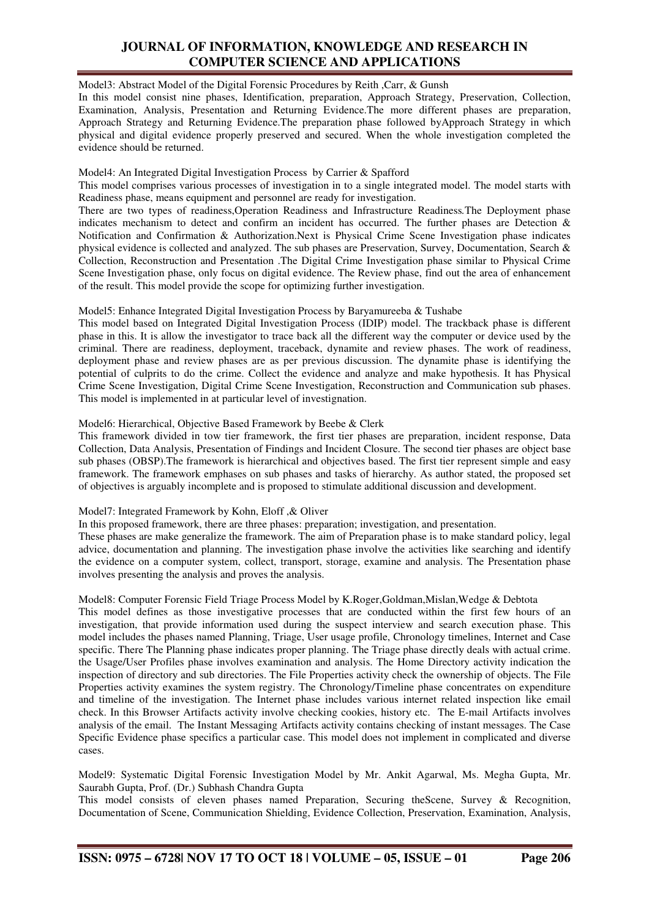### Model3: Abstract Model of the Digital Forensic Procedures by Reith ,Carr, & Gunsh

In this model consist nine phases, Identification, preparation, Approach Strategy, Preservation, Collection, Examination, Analysis, Presentation and Returning Evidence.The more different phases are preparation, Approach Strategy and Returning Evidence.The preparation phase followed byApproach Strategy in which physical and digital evidence properly preserved and secured. When the whole investigation completed the evidence should be returned.

### Model4: An Integrated Digital Investigation Process by Carrier & Spafford

This model comprises various processes of investigation in to a single integrated model. The model starts with Readiness phase, means equipment and personnel are ready for investigation.

There are two types of readiness,Operation Readiness and Infrastructure Readiness*.*The Deployment phase indicates mechanism to detect and confirm an incident has occurred. The further phases are Detection & Notification and Confirmation & Authorization.Next is Physical Crime Scene Investigation phase indicates physical evidence is collected and analyzed. The sub phases are Preservation, Survey, Documentation, Search & Collection, Reconstruction and Presentation .The Digital Crime Investigation phase similar to Physical Crime Scene Investigation phase, only focus on digital evidence. The Review phase, find out the area of enhancement of the result. This model provide the scope for optimizing further investigation.

Model5: Enhance Integrated Digital Investigation Process by Baryamureeba & Tushabe

This model based on Integrated Digital Investigation Process (IDIP) model. The trackback phase is different phase in this. It is allow the investigator to trace back all the different way the computer or device used by the criminal. There are readiness, deployment, traceback, dynamite and review phases. The work of readiness, deployment phase and review phases are as per previous discussion. The dynamite phase is identifying the potential of culprits to do the crime. Collect the evidence and analyze and make hypothesis. It has Physical Crime Scene Investigation, Digital Crime Scene Investigation, Reconstruction and Communication sub phases. This model is implemented in at particular level of investignation.

### Model6: Hierarchical, Objective Based Framework by Beebe & Clerk

This framework divided in tow tier framework, the first tier phases are preparation, incident response, Data Collection, Data Analysis, Presentation of Findings and Incident Closure. The second tier phases are object base sub phases (OBSP).The framework is hierarchical and objectives based. The first tier represent simple and easy framework. The framework emphases on sub phases and tasks of hierarchy. As author stated, the proposed set of objectives is arguably incomplete and is proposed to stimulate additional discussion and development.

### Model7: Integrated Framework by Kohn, Eloff ,& Oliver

In this proposed framework, there are three phases: preparation; investigation, and presentation. These phases are make generalize the framework. The aim of Preparation phase is to make standard policy, legal advice, documentation and planning. The investigation phase involve the activities like searching and identify the evidence on a computer system, collect, transport, storage, examine and analysis. The Presentation phase involves presenting the analysis and proves the analysis.

### Model8: Computer Forensic Field Triage Process Model by K.Roger,Goldman,Mislan,Wedge & Debtota

This model defines as those investigative processes that are conducted within the first few hours of an investigation, that provide information used during the suspect interview and search execution phase. This model includes the phases named Planning, Triage, User usage profile, Chronology timelines, Internet and Case specific. There The Planning phase indicates proper planning. The Triage phase directly deals with actual crime. the Usage/User Profiles phase involves examination and analysis. The Home Directory activity indication the inspection of directory and sub directories. The File Properties activity check the ownership of objects. The File Properties activity examines the system registry. The Chronology/Timeline phase concentrates on expenditure and timeline of the investigation. The Internet phase includes various internet related inspection like email check. In this Browser Artifacts activity involve checking cookies, history etc. The E-mail Artifacts involves analysis of the email. The Instant Messaging Artifacts activity contains checking of instant messages. The Case Specific Evidence phase specifics a particular case. This model does not implement in complicated and diverse cases.

Model9: Systematic Digital Forensic Investigation Model by Mr. Ankit Agarwal, Ms. Megha Gupta, Mr. Saurabh Gupta, Prof. (Dr.) Subhash Chandra Gupta

This model consists of eleven phases named Preparation, Securing theScene, Survey & Recognition, Documentation of Scene, Communication Shielding, Evidence Collection, Preservation, Examination, Analysis,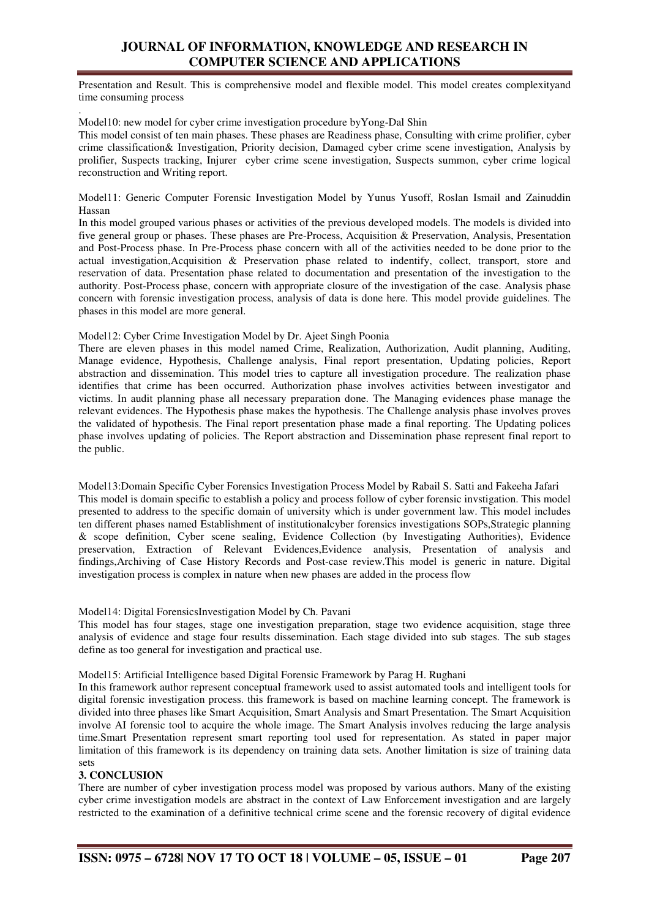Presentation and Result. This is comprehensive model and flexible model. This model creates complexityand time consuming process

. Model10: new model for cyber crime investigation procedure byYong-Dal Shin

This model consist of ten main phases. These phases are Readiness phase, Consulting with crime prolifier, cyber crime classification& Investigation, Priority decision, Damaged cyber crime scene investigation, Analysis by prolifier, Suspects tracking, Injurer cyber crime scene investigation, Suspects summon, cyber crime logical reconstruction and Writing report.

Model11: Generic Computer Forensic Investigation Model by Yunus Yusoff, Roslan Ismail and Zainuddin Hassan

In this model grouped various phases or activities of the previous developed models. The models is divided into five general group or phases. These phases are Pre-Process, Acquisition & Preservation, Analysis, Presentation and Post-Process phase. In Pre-Process phase concern with all of the activities needed to be done prior to the actual investigation,Acquisition & Preservation phase related to indentify, collect, transport, store and reservation of data. Presentation phase related to documentation and presentation of the investigation to the authority. Post-Process phase, concern with appropriate closure of the investigation of the case. Analysis phase concern with forensic investigation process, analysis of data is done here. This model provide guidelines. The phases in this model are more general.

Model12: Cyber Crime Investigation Model by Dr. Ajeet Singh Poonia

There are eleven phases in this model named Crime, Realization, Authorization, Audit planning, Auditing, Manage evidence, Hypothesis, Challenge analysis, Final report presentation, Updating policies, Report abstraction and dissemination. This model tries to capture all investigation procedure. The realization phase identifies that crime has been occurred. Authorization phase involves activities between investigator and victims. In audit planning phase all necessary preparation done. The Managing evidences phase manage the relevant evidences. The Hypothesis phase makes the hypothesis. The Challenge analysis phase involves proves the validated of hypothesis. The Final report presentation phase made a final reporting. The Updating polices phase involves updating of policies. The Report abstraction and Dissemination phase represent final report to the public.

Model13:Domain Specific Cyber Forensics Investigation Process Model by Rabail S. Satti and Fakeeha Jafari This model is domain specific to establish a policy and process follow of cyber forensic invstigation. This model presented to address to the specific domain of university which is under government law. This model includes ten different phases named Establishment of institutionalcyber forensics investigations SOPs,Strategic planning & scope definition, Cyber scene sealing, Evidence Collection (by Investigating Authorities), Evidence preservation, Extraction of Relevant Evidences,Evidence analysis, Presentation of analysis and findings,Archiving of Case History Records and Post-case review.This model is generic in nature. Digital investigation process is complex in nature when new phases are added in the process flow

### Model14: Digital ForensicsInvestigation Model by Ch. Pavani

This model has four stages, stage one investigation preparation, stage two evidence acquisition, stage three analysis of evidence and stage four results dissemination. Each stage divided into sub stages. The sub stages define as too general for investigation and practical use.

#### Model15: Artificial Intelligence based Digital Forensic Framework by Parag H. Rughani

In this framework author represent conceptual framework used to assist automated tools and intelligent tools for digital forensic investigation process. this framework is based on machine learning concept. The framework is divided into three phases like Smart Acquisition, Smart Analysis and Smart Presentation. The Smart Acquisition involve AI forensic tool to acquire the whole image. The Smart Analysis involves reducing the large analysis time.Smart Presentation represent smart reporting tool used for representation. As stated in paper major limitation of this framework is its dependency on training data sets. Another limitation is size of training data sets

### **3. CONCLUSION**

There are number of cyber investigation process model was proposed by various authors. Many of the existing cyber crime investigation models are abstract in the context of Law Enforcement investigation and are largely restricted to the examination of a definitive technical crime scene and the forensic recovery of digital evidence